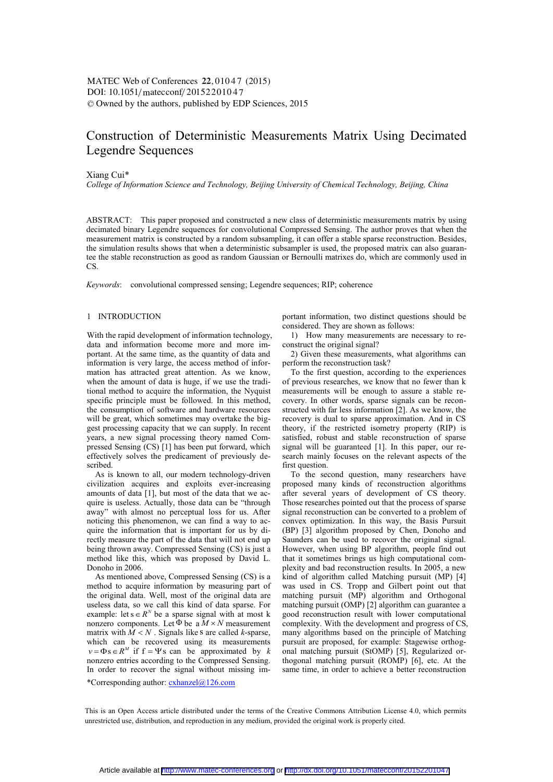# Construction of Deterministic Measurements Matrix Using Decimated Legendre Sequences

## Xiang Cui\*

*College of Information Science and Technology, Beijing University of Chemical Technology, Beijing, China* 

ABSTRACT: This paper proposed and constructed a new class of deterministic measurements matrix by using decimated binary Legendre sequences for convolutional Compressed Sensing. The author proves that when the measurement matrix is constructed by a random subsampling, it can offer a stable sparse reconstruction. Besides, the simulation results shows that when a deterministic subsampler is used, the proposed matrix can also guarantee the stable reconstruction as good as random Gaussian or Bernoulli matrixes do, which are commonly used in CS.

*Keywords*: convolutional compressed sensing; Legendre sequences; RIP; coherence

## 1 INTRODUCTION

With the rapid development of information technology, data and information become more and more important. At the same time, as the quantity of data and information is very large, the access method of information has attracted great attention. As we know, when the amount of data is huge, if we use the traditional method to acquire the information, the Nyquist specific principle must be followed. In this method, the consumption of software and hardware resources will be great, which sometimes may overtake the biggest processing capacity that we can supply. In recent years, a new signal processing theory named Compressed Sensing (CS) [1] has been put forward, which effectively solves the predicament of previously described.

As is known to all, our modern technology-driven civilization acquires and exploits ever-increasing amounts of data [1], but most of the data that we acquire is useless. Actually, those data can be "through away" with almost no perceptual loss for us. After noticing this phenomenon, we can find a way to acquire the information that is important for us by directly measure the part of the data that will not end up being thrown away. Compressed Sensing (CS) is just a method like this, which was proposed by David L. Donoho in 2006.

As mentioned above, Compressed Sensing (CS) is a method to acquire information by measuring part of the original data. Well, most of the original data are useless data, so we call this kind of data sparse. For example: let  $s \in R^N$  be a sparse signal with at most k nonzero components. Let  $\Phi$  be a  $M \times N$  measurement matrix with  $\overrightarrow{M}$  < N . Signals like s are called *k*-sparse, which can be recovered using its measurements  $v = \Phi s \in R^M$  if  $f = \Psi s$  can be approximated by *k* nonzero entries according to the Compressed Sensing. In order to recover the signal without missing important information, two distinct questions should be considered. They are shown as follows:

1) How many measurements are necessary to reconstruct the original signal?

2) Given these measurements, what algorithms can perform the reconstruction task?

To the first question, according to the experiences of previous researches, we know that no fewer than k measurements will be enough to assure a stable recovery. In other words, sparse signals can be reconstructed with far less information [2]. As we know, the recovery is dual to sparse approximation. And in CS theory, if the restricted isometry property (RIP) is satisfied, robust and stable reconstruction of sparse signal will be guaranteed [1]. In this paper, our research mainly focuses on the relevant aspects of the first question.

To the second question, many researchers have proposed many kinds of reconstruction algorithms after several years of development of CS theory. Those researches pointed out that the process of sparse signal reconstruction can be converted to a problem of convex optimization. In this way, the Basis Pursuit (BP) [3] algorithm proposed by Chen, Donoho and Saunders can be used to recover the original signal. However, when using BP algorithm, people find out that it sometimes brings us high computational complexity and bad reconstruction results. In 2005, a new kind of algorithm called Matching pursuit (MP) [4] was used in CS. Tropp and Gilbert point out that matching pursuit (MP) algorithm and Orthogonal matching pursuit (OMP) [2] algorithm can guarantee a good reconstruction result with lower computational complexity. With the development and progress of CS, many algorithms based on the principle of Matching pursuit are proposed, for example: Stagewise orthogonal matching pursuit (StOMP) [5], Regularized orthogonal matching pursuit (ROMP) [6], etc. At the same time, in order to achieve a better reconstruction

\*Corresponding author:  $\operatorname{exhanzel}(a)$ 126.com

This is an Open Access article distributed under the terms of the Creative Commons Attribution License 4.0, which permits unrestricted use, distribution, and reproduction in any medium, provided the original work is properly cited.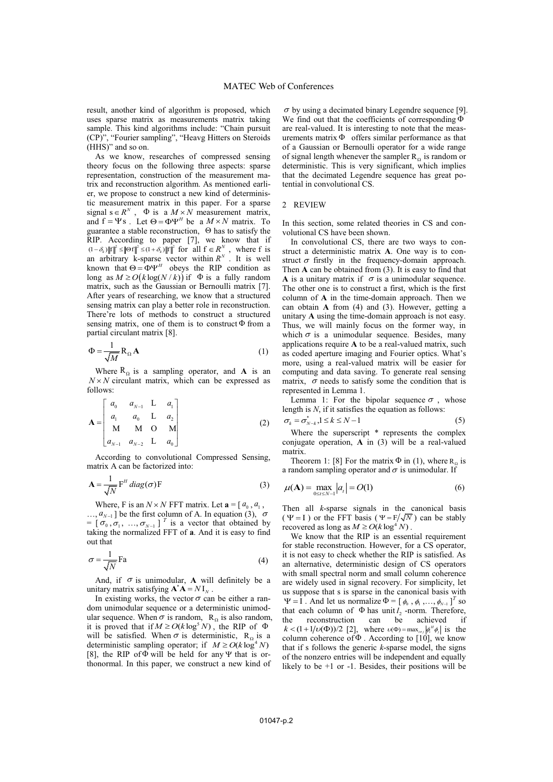result, another kind of algorithm is proposed, which uses sparse matrix as measurements matrix taking sample. This kind algorithms include: "Chain pursuit (CP)", "Fourier sampling", "Heavg Hitters on Steroids (HHS)" and so on.

As we know, researches of compressed sensing theory focus on the following three aspects: sparse representation, construction of the measurement matrix and reconstruction algorithm. As mentioned earlier, we propose to construct a new kind of deterministic measurement matrix in this paper. For a sparse signal  $s \in R^N$ ,  $\Phi$  is a  $M \times N$  measurement matrix, and  $f = \Psi s$ . Let  $\Theta = \Phi \Psi^H$  be a  $M \times N$  matrix. To guarantee a stable reconstruction,  $\Theta$  has to satisfy the RIP. According to paper [7], we know that if for all  $f \in R^N$ , where f is an arbitrary k-sparse vector within  $R^N$ . It is well known that  $\Theta = \Phi \Psi^H$  obeys the RIP condition as long as  $M \ge O(k \log(N/k))$  if  $\Phi$  is a fully random matrix, such as the Gaussian or Bernoulli matrix [7]. After years of researching, we know that a structured sensing matrix can play a better role in reconstruction. There're lots of methods to construct a structured sensing matrix, one of them is to construct  $\Phi$  from a partial circulant matrix [8].  $s \in R^N$ ,  $\Phi$  is a  $M \times N$  $f = \Psi s$ . Let  $\Theta = \Phi \Psi^H$  be a  $M \times N$  $(1 - \delta_k) ||f||^2 \le ||\Theta f||^2 \le (1 + \delta_k) ||f||^2$  for all  $f \in R^N$ , where f<br>an arbitrary k-sparse vector within  $R^N$ . It is word that  $\Theta = \Phi \Psi^H$  obeys the RIP condition

$$
\Phi = \frac{1}{\sqrt{M}} R_{\Omega} \mathbf{A}
$$
 (1)

Where  $R_{\Omega}$  is a sampling operator, and **A** is an  $N \times N$  circulant matrix, which can be expressed as follows:

$$
\mathbf{A} = \begin{bmatrix} a_0 & a_{N-1} & \mathbf{L} & a_1 \\ a_1 & a_0 & \mathbf{L} & a_2 \\ \mathbf{M} & \mathbf{M} & \mathbf{O} & \mathbf{M} \\ a_{N-1} & a_{N-2} & \mathbf{L} & a_0 \end{bmatrix}
$$
 (2)

According to convolutional Compressed Sensing, matrix A can be factorized into:

$$
\mathbf{A} = \frac{1}{\sqrt{N}} \mathbf{F}^H \operatorname{diag}(\boldsymbol{\sigma}) \mathbf{F}
$$
 (3)

Where, F is an  $N \times N$  FFT matrix. Let  $\mathbf{a} = [a_0, a_1]$ ,

 $..., a_{N-1}$ ] be the first column of A. In equation (3),  $= [\sigma_0, \sigma_1, ..., \sigma_{N-1}]^T$  is a vector that obtained by taking the normalized FFT of **a**. And it is easy to find out that  $a_{N-1}$ ] be the first column of A. In equation (3),  $\sigma$  $\sigma_{0}$  ,  $\sigma_{1}$  , ...,  $\sigma_{N-1}$ 

$$
\sigma = \frac{1}{\sqrt{N}} \text{Fa} \tag{4}
$$

And, if  $\sigma$  is unimodular, **A** will definitely be a unitary matrix satisfying  $\mathbf{A}^* \mathbf{A} = N \mathbf{I}_N$ .

In existing works, the vector  $\sigma$  can be either a random unimodular sequence or a deterministic unimodular sequence. When  $\sigma$  is random,  $R_{\Omega}$  is also random, ular sequence. When  $\sigma$  is random,  $R_{\Omega}$  is also random<br>it is proved that if  $M \ge O(k \log^5 N)$ , the RIP of  $\Phi$ will be satisfied. When  $\sigma$  is deterministic, R<sub>o</sub> is a will be satisfied. When  $\sigma$  is deterministic,  $R_{\Omega}$  is a deterministic sampling operator; if  $M \ge O(k \log^4 N)$ [8], the RIP of  $\Phi$  will be held for any  $\Psi$  that is orthonormal. In this paper, we construct a new kind of

 $\sigma$  by using a decimated binary Legendre sequence [9]. We find out that the coefficients of corresponding  $\Phi$ are real-valued. It is interesting to note that the measurements matrix  $\Phi$  offers similar performance as that of a Gaussian or Bernoulli operator for a wide range of signal length whenever the sampler  $R_{\Omega}$  is random or deterministic. This is very significant, which implies that the decimated Legendre sequence has great potential in convolutional CS.

### 2 REVIEW

In this section, some related theories in CS and convolutional CS have been shown.

In convolutional CS, there are two ways to construct a deterministic matrix **A**. One way is to construct  $\sigma$  firstly in the frequency-domain approach. Then **A** can be obtained from (3). It is easy to find that **A** is a unitary matrix if  $\sigma$  is a unimodular sequence. The other one is to construct a first, which is the first column of **A** in the time-domain approach. Then we can obtain **A** from (4) and (3). However, getting a unitary **A** using the time-domain approach is not easy. Thus, we will mainly focus on the former way, in which  $\sigma$  is a unimodular sequence. Besides, many applications require **A** to be a real-valued matrix, such as coded aperture imaging and Fourier optics. What's more, using a real-valued matrix will be easier for computing and data saving. To generate real sensing matrix,  $\sigma$  needs to satisfy some the condition that is represented in Lemma 1.

Lemma 1: For the bipolar sequence  $\sigma$ , whose length is *N*, if it satisfies the equation as follows:

$$
\sigma_k = \sigma_{N-k}^*, 1 \le k \le N-1 \tag{5}
$$

Where the superscript  $*$  represents the complex conjugate operation, **A** in (3) will be a real-valued matrix.

Theorem 1: [8] For the matrix  $\Phi$  in (1), where  $R_{\Omega}$  is a random sampling operator and  $\sigma$  is unimodular. If

$$
\mu(\mathbf{A}) = \max_{0 \le t \le N-1} |a_t| = O(1)
$$
\n(6)

Then all *k*-sparse signals in the canonical basis ( $\Psi = I$ ) or the FFT basis ( $\Psi = F/\sqrt{N}$ ) can be stably recovered as long as  $M \ge O(k \log^4 N)$ . recovered as long as  $M \ge O(k \log^4 N)$ .

We know that the RIP is an essential requirement for stable reconstruction. However, for a CS operator, it is not easy to check whether the RIP is satisfied. As an alternative, deterministic design of CS operators with small spectral norm and small column coherence are widely used in signal recovery. For simplicity, let us suppose that s is sparse in the canonical basis with  $\Psi = I$ . And let us normalize  $\Phi = [\phi_0, \phi_1, ..., \phi_{N-1}]^T$  so that each column of  $\Phi$  has unit  $l_2$ -norm. Therefore, the reconstruction can be achieved if  $k < (1 + 1/\nu(\Phi))/2$  [2], where  $\nu(\Phi) = \max_{i \neq j} |\phi_i^H \phi_j|$  is the column coherence of  $\Phi$ . According to [10], we know that if s follows the generic *k*-sparse model, the signs of the nonzero entries will be independent and equally likely to be  $+1$  or  $-1$ . Besides, their positions will be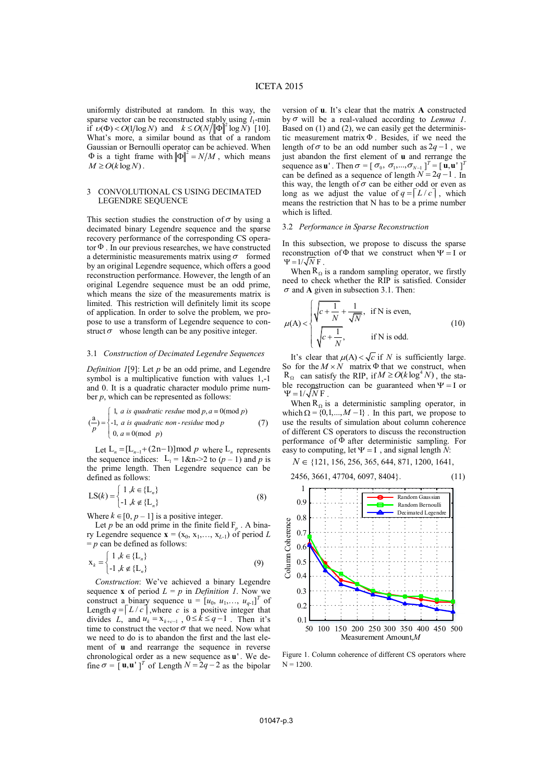uniformly distributed at random. In this way, the sparse vector can be reconstructed stably using  $l_1$ -min if  $\nu(\Phi) < O(1/\log N)$  and  $k \le O(N/|\Phi||^2 \log N)$  [10]. What's more, a similar bound as that of a random Gaussian or Bernoulli operator can be achieved. When  $\Phi$  is a tight frame with  $\|\Phi\|^2 = N/M$ , which means  $M \ge O(k \log N)$ .

# 3 CONVOLUTIONAL CS USING DECIMATED LEGENDRE SEQUENCE

This section studies the construction of  $\sigma$  by using a decimated binary Legendre sequence and the sparse recovery performance of the corresponding CS operator  $\Phi$ . In our previous researches, we have constructed a deterministic measurements matrix using  $\sigma$  formed by an original Legendre sequence, which offers a good reconstruction performance. However, the length of an original Legendre sequence must be an odd prime, which means the size of the measurements matrix is limited. This restriction will definitely limit its scope of application. In order to solve the problem, we propose to use a transform of Legendre sequence to construct  $\sigma$  whose length can be any positive integer.

## 3.1 *Construction of Decimated Legendre Sequences*

*Definition 1*[9]: Let *p* be an odd prime, and Legendre symbol is a multiplicative function with values 1,-1 and 0. It is a quadratic character modulo prime number *p*, which can be represented as follows:

$$
\begin{pmatrix} a \\ c \end{pmatrix} = \begin{cases} 1, & \text{if } quadratic \text{ } resdue \text{ } \text{mod } p, a \equiv 0 \text{ } (\text{mod } p) \\ -1, & \text{if } quadratic \text{ } non-residue \text{ } \text{mod } p \\ 0, & \text{if } a \equiv 0 \text{ } (\text{mod } p) \end{cases} \tag{7}
$$

Let  $L_n = [L_{n-1} + (2n-1)] \text{ mod } p$  where  $L_n$  represents the sequence indices:  $L_1 = 1 \& n > 2$  to  $(p - 1)$  and p is the prime length. Then Legendre sequence can be defined as follows:

$$
LS(k) = \begin{cases} 1, k \in \{L_n\} \\ -1, k \notin \{L_n\} \end{cases}
$$
 (8)

Where  $k \in [0, p - 1]$  is a positive integer.

Let *p* be an odd prime in the finite field  $F_p$ . A binary Legendre sequence  $\mathbf{x} = (x_0, x_1, \dots, x_{L-1})$  of period *L*  $= p$  can be defined as follows:

$$
\mathbf{x}_{k} = \begin{cases} 1, k \in \{\mathbf{L}_{n}\} \\ -1, k \notin \{\mathbf{L}_{n}\} \end{cases}
$$
(9)

*Construction*: We've achieved a binary Legendre sequence **x** of period  $L = p$  in *Definition 1*. Now we construct a binary sequence  $u = [u_0, u_1, \dots, u_{q-1}]^T$  of Length  $q = |L / c|$ , where c is a positive integer that divides *L*, and  $u_k = x_{k+c-1}$ ,  $0 \le k \le q-1$ . Then it's time to construct the vector  $\sigma$  that we need. Now what we need to do is to abandon the first and the last element of **u** and rearrange the sequence in reverse chronological order as a new sequence as  $\mathbf{u}'$ . We define  $\sigma = [\mathbf{u}, \mathbf{u}^{\dagger}]^T$  of Length  $N = 2q - 2$  as the bipolar  $q = \lceil L/c \rceil$  $u_k = x_{k+c-1}$ ,  $0 \le k \le q-1$ 

version of **u**. It's clear that the matrix **A** constructed by  $\sigma$  will be a real-valued according to *Lemma 1*. Based on (1) and (2), we can easily get the deterministic measurement matrix  $\Phi$ . Besides, if we need the length of  $\sigma$  to be an odd number such as  $2q - 1$ , we just abandon the first element of **u** and rerrange the sequence as **u**'. Then  $\sigma = [\sigma_0, \sigma_1, ..., \sigma_{N-1}]^T = [\mathbf{u}, \mathbf{u}^T]^T$ can be defined as a sequence of length  $N = 2q - 1$ . In this way, the length of  $\sigma$  can be either odd or even as long as we adjust the value of  $q = \lceil L/c \rceil$ , which means the restriction that N has to be a prime number which is lifted. **u**<sup> $\cdot$ </sup>. Then  $\sigma = [\sigma_0, \sigma_1, ..., \sigma_{N-1}]^T = [\mathbf{u}, \mathbf{u}]^T$  $N = 2q - 1$ 

#### 3.2 *Performance in Sparse Reconstruction*

In this subsection, we propose to discuss the sparse reconstruction of  $\Phi$  that we construct when  $\Psi = I$  or  $\Psi = 1/\sqrt{N} F$ .

When  $R_{\Omega}$  is a random sampling operator, we firstly need to check whether the RIP is satisfied. Consider  $\sigma$  and **A** given in subsection 3.1. Then:

$$
\mu(A) < \begin{cases} \sqrt{c + \frac{1}{N}} + \frac{1}{\sqrt{N}}, & \text{if N is even,} \\ \sqrt{c + \frac{1}{N}}, & \text{if N is odd.} \end{cases}
$$
(10)

It's clear that  $\mu(A) < \sqrt{c}$  if *N* is sufficiently large. So for the  $M \times N$  matrix  $\Phi$  that we construct, when  $R_{\Omega}$  can satisfy the RIP, if  $M \ge O(k \log^4 N)$ , the stable reconstruction can be guaranteed when  $\Psi = I$  or  $\Psi = 1/\sqrt{N} F$ .

When  $R_{\Omega}$  is a deterministic sampling operator, in which  $\Omega = \{0,1,..., M-1\}$ . In this part, we propose to use the results of simulation about column coherence of different CS operators to discuss the reconstruction performance of  $\dot{\Phi}$  after deterministic sampling. For easy to computing, let  $\Psi = I$ , and signal length  $\overline{N}$ :

$$
N \in \{121, 156, 256, 365, 644, 871, 1200, 1641,
$$

$$
2456, 3661, 47704, 6097, 8404 \}. \tag{11}
$$



Figure 1. Column coherence of different CS operators where  $N = 1200$ .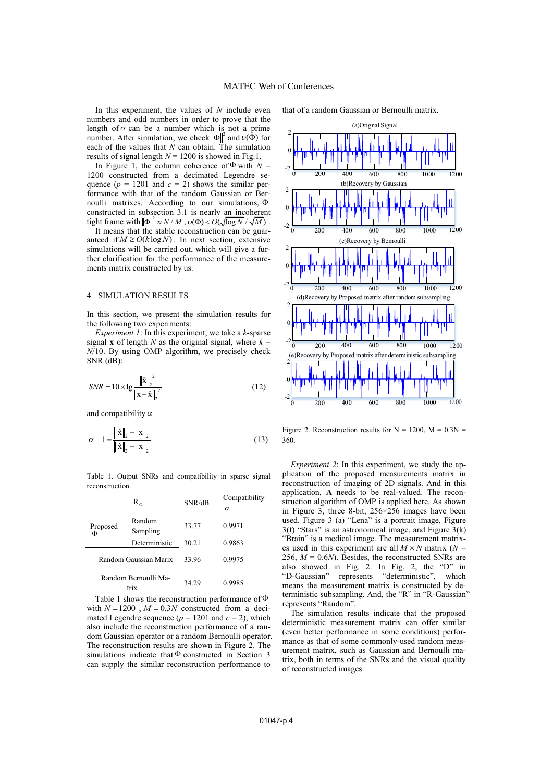In this experiment, the values of *N* include even numbers and odd numbers in order to prove that the length of  $\sigma$  can be a number which is not a prime number. After simulation, we check  $\|\Phi\|^2$  and  $v(\Phi)$  for each of the values that  $N$  can obtain. The simulation results of signal length  $N = 1200$  is showed in Fig.1.

In Figure 1, the column coherence of  $\Phi$  with  $N =$ 1200 constructed from a decimated Legendre sequence  $(p = 1201$  and  $c = 2$ ) shows the similar performance with that of the random Gaussian or Bernoulli matrixes. According to our simulations, constructed in subsection 3.1 is nearly an incoherent tight frame with  $\|\Phi\|^2 \approx N/M$ ,  $\upsilon(\Phi) < O(\sqrt{\log N}/\sqrt{M})$ .

It means that the stable reconstruction can be guaranteed if  $M \ge O(k \log N)$ . In next section, extensive simulations will be carried out, which will give a further clarification for the performance of the measurements matrix constructed by us.

#### 4 SIMULATION RESULTS

In this section, we present the simulation results for the following two experiments:

*Experiment 1*: In this experiment, we take a *k*-sparse signal **x** of length *N* as the original signal, where  $k =$ *N*/10. By using OMP algorithm, we precisely check SNR (dB):

$$
SNR = 10 \times \lg \frac{\|\hat{\mathbf{x}}\|_2^2}{\|\mathbf{x} - \hat{\mathbf{x}}\|_2^2}
$$
 (12)

and compatibility  $\alpha$ 

$$
\alpha = 1 - \frac{\|\hat{\mathbf{x}}\|_2 - \|\mathbf{x}\|_2}{\|\|\hat{\mathbf{x}}\|_2 + \|\mathbf{x}\|_2}
$$
\n(13)

Table 1. Output SNRs and compatibility in sparse signal reconstruction.

|                              | $R_{\Omega}$       | SNR/dB | Compatibility<br>$\alpha$ |
|------------------------------|--------------------|--------|---------------------------|
| Proposed<br>Φ                | Random<br>Sampling | 33.77  | 0.9971                    |
|                              | Deterministic      | 30.21  | 0.9863                    |
| Random Gaussian Marix        |                    | 33.96  | 0.9975                    |
| Random Bernoulli Ma-<br>triv |                    | 34.29  | 0.9985                    |

Table 1 shows the reconstruction performance of  $\Phi$ with  $N = 1200$ ,  $M = 0.3N$  constructed from a decimated Legendre sequence ( $p = 1201$  and  $c = 2$ ), which also include the reconstruction performance of a random Gaussian operator or a random Bernoulli operator. The reconstruction results are shown in Figure 2. The simulations indicate that  $\Phi$  constructed in Section 3 can supply the similar reconstruction performance to

that of a random Gaussian or Bernoulli matrix.



Figure 2. Reconstruction results for  $N = 1200$ ,  $M = 0.3N =$ 360.

*Experiment 2*: In this experiment, we study the application of the proposed measurements matrix in reconstruction of imaging of 2D signals. And in this application, **A** needs to be real-valued. The reconstruction algorithm of OMP is applied here. As shown in Figure 3, three 8-bit, 256×256 images have been used. Figure 3 (a) "Lena" is a portrait image, Figure 3(f) "Stars" is an astronomical image, and Figure 3(k) "Brain" is a medical image. The measurement matrixes used in this experiment are all  $M \times N$  matrix ( $N =$ 256,  $M = 0.6N$ ). Besides, the reconstructed SNRs are also showed in Fig. 2. In Fig. 2, the "D" in "D-Gaussian" represents "deterministic", which means the measurement matrix is constructed by deterministic subsampling. And, the "R" in "R-Gaussian" represents "Random".

The simulation results indicate that the proposed deterministic measurement matrix can offer similar (even better performance in some conditions) performance as that of some commonly-used random measurement matrix, such as Gaussian and Bernoulli matrix, both in terms of the SNRs and the visual quality of reconstructed images.